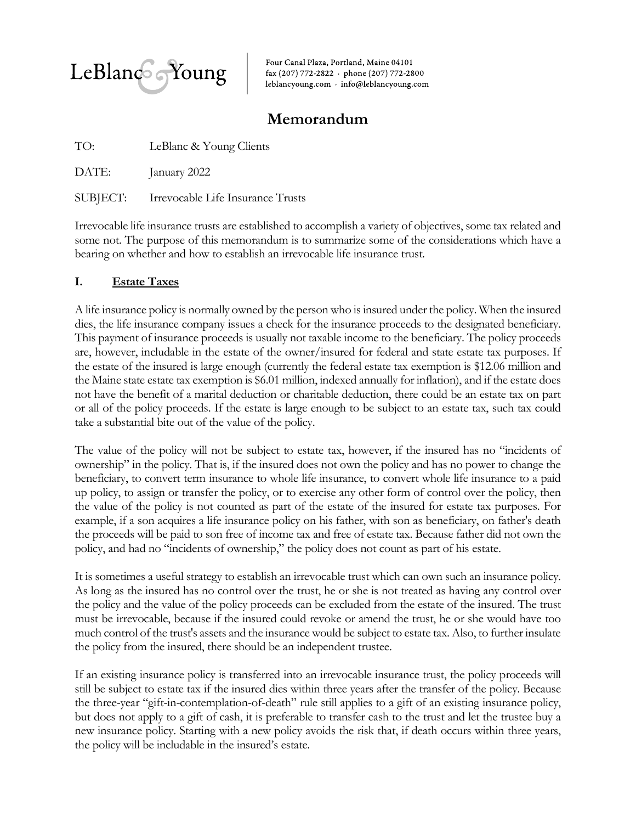

Four Canal Plaza, Portland, Maine 04101 fax (207) 772-2822 - phone (207) 772-2800 leblancyoung.com · info@leblancyoung.com

# **Memorandum**

| TO:   | LeBlanc & Young Clients                    |
|-------|--------------------------------------------|
| DATE: | January 2022                               |
|       | SUBJECT: Irrevocable Life Insurance Trusts |

Irrevocable life insurance trusts are established to accomplish a variety of objectives, some tax related and some not. The purpose of this memorandum is to summarize some of the considerations which have a bearing on whether and how to establish an irrevocable life insurance trust.

## **I. Estate Taxes**

A life insurance policy is normally owned by the person who is insured under the policy. When the insured dies, the life insurance company issues a check for the insurance proceeds to the designated beneficiary. This payment of insurance proceeds is usually not taxable income to the beneficiary. The policy proceeds are, however, includable in the estate of the owner/insured for federal and state estate tax purposes. If the estate of the insured is large enough (currently the federal estate tax exemption is \$12.06 million and the Maine state estate tax exemption is \$6.01 million, indexed annually for inflation), and if the estate does not have the benefit of a marital deduction or charitable deduction, there could be an estate tax on part or all of the policy proceeds. If the estate is large enough to be subject to an estate tax, such tax could take a substantial bite out of the value of the policy.

The value of the policy will not be subject to estate tax, however, if the insured has no "incidents of ownership" in the policy. That is, if the insured does not own the policy and has no power to change the beneficiary, to convert term insurance to whole life insurance, to convert whole life insurance to a paid up policy, to assign or transfer the policy, or to exercise any other form of control over the policy, then the value of the policy is not counted as part of the estate of the insured for estate tax purposes. For example, if a son acquires a life insurance policy on his father, with son as beneficiary, on father's death the proceeds will be paid to son free of income tax and free of estate tax. Because father did not own the policy, and had no "incidents of ownership," the policy does not count as part of his estate.

It is sometimes a useful strategy to establish an irrevocable trust which can own such an insurance policy. As long as the insured has no control over the trust, he or she is not treated as having any control over the policy and the value of the policy proceeds can be excluded from the estate of the insured. The trust must be irrevocable, because if the insured could revoke or amend the trust, he or she would have too much control of the trust's assets and the insurance would be subject to estate tax. Also, to further insulate the policy from the insured, there should be an independent trustee.

If an existing insurance policy is transferred into an irrevocable insurance trust, the policy proceeds will still be subject to estate tax if the insured dies within three years after the transfer of the policy. Because the three-year "gift-in-contemplation-of-death" rule still applies to a gift of an existing insurance policy, but does not apply to a gift of cash, it is preferable to transfer cash to the trust and let the trustee buy a new insurance policy. Starting with a new policy avoids the risk that, if death occurs within three years, the policy will be includable in the insured's estate.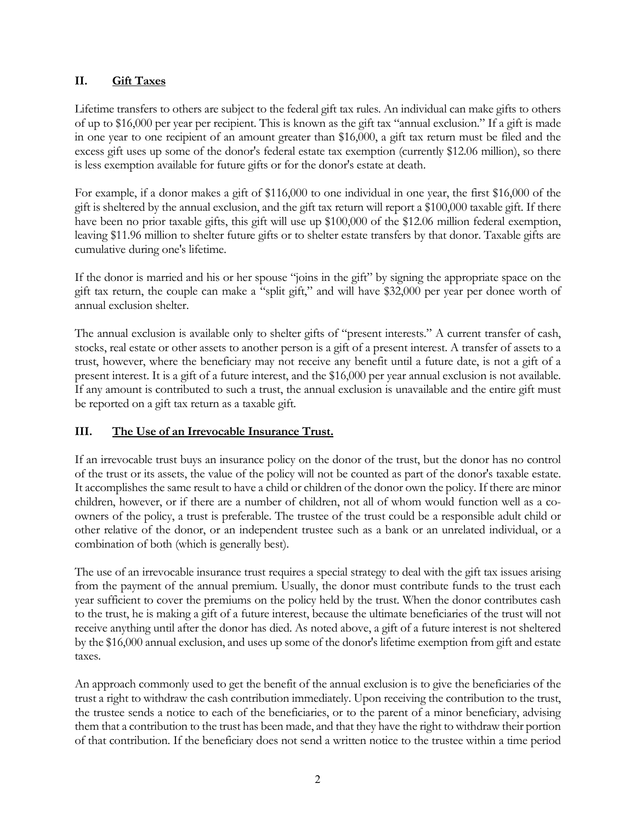## **II. Gift Taxes**

Lifetime transfers to others are subject to the federal gift tax rules. An individual can make gifts to others of up to \$16,000 per year per recipient. This is known as the gift tax "annual exclusion." If a gift is made in one year to one recipient of an amount greater than \$16,000, a gift tax return must be filed and the excess gift uses up some of the donor's federal estate tax exemption (currently \$12.06 million), so there is less exemption available for future gifts or for the donor's estate at death.

For example, if a donor makes a gift of \$116,000 to one individual in one year, the first \$16,000 of the gift is sheltered by the annual exclusion, and the gift tax return will report a \$100,000 taxable gift. If there have been no prior taxable gifts, this gift will use up \$100,000 of the \$12.06 million federal exemption, leaving \$11.96 million to shelter future gifts or to shelter estate transfers by that donor. Taxable gifts are cumulative during one's lifetime.

If the donor is married and his or her spouse "joins in the gift" by signing the appropriate space on the gift tax return, the couple can make a "split gift," and will have \$32,000 per year per donee worth of annual exclusion shelter.

The annual exclusion is available only to shelter gifts of "present interests." A current transfer of cash, stocks, real estate or other assets to another person is a gift of a present interest. A transfer of assets to a trust, however, where the beneficiary may not receive any benefit until a future date, is not a gift of a present interest. It is a gift of a future interest, and the \$16,000 per year annual exclusion is not available. If any amount is contributed to such a trust, the annual exclusion is unavailable and the entire gift must be reported on a gift tax return as a taxable gift.

## **III. The Use of an Irrevocable Insurance Trust.**

If an irrevocable trust buys an insurance policy on the donor of the trust, but the donor has no control of the trust or its assets, the value of the policy will not be counted as part of the donor's taxable estate. It accomplishes the same result to have a child or children of the donor own the policy. If there are minor children, however, or if there are a number of children, not all of whom would function well as a coowners of the policy, a trust is preferable. The trustee of the trust could be a responsible adult child or other relative of the donor, or an independent trustee such as a bank or an unrelated individual, or a combination of both (which is generally best).

The use of an irrevocable insurance trust requires a special strategy to deal with the gift tax issues arising from the payment of the annual premium. Usually, the donor must contribute funds to the trust each year sufficient to cover the premiums on the policy held by the trust. When the donor contributes cash to the trust, he is making a gift of a future interest, because the ultimate beneficiaries of the trust will not receive anything until after the donor has died. As noted above, a gift of a future interest is not sheltered by the \$16,000 annual exclusion, and uses up some of the donor's lifetime exemption from gift and estate taxes.

An approach commonly used to get the benefit of the annual exclusion is to give the beneficiaries of the trust a right to withdraw the cash contribution immediately. Upon receiving the contribution to the trust, the trustee sends a notice to each of the beneficiaries, or to the parent of a minor beneficiary, advising them that a contribution to the trust has been made, and that they have the right to withdraw their portion of that contribution. If the beneficiary does not send a written notice to the trustee within a time period